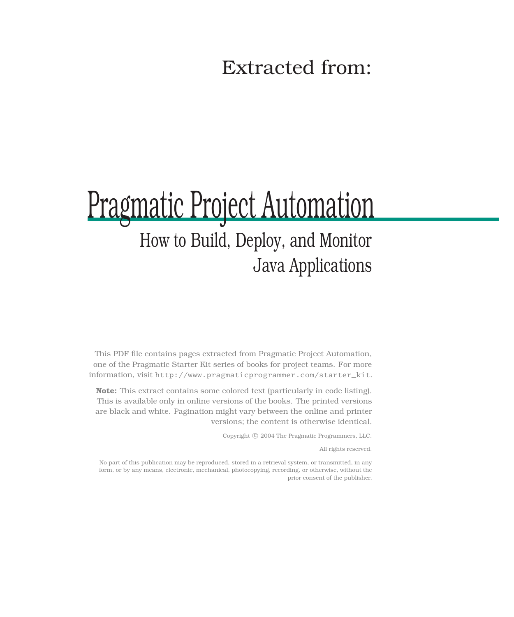# Extracted from:

# Pragmatic Project Automation

# How to Build, Deploy, and Monitor Java Applications

This PDF file contains pages extracted from Pragmatic Project Automation, one of the Pragmatic Starter Kit series of books for project teams. For more information, visit http://www.pragmaticprogrammer.com/starter\_kit.

Note: This extract contains some colored text (particularly in code listing). This is available only in online versions of the books. The printed versions are black and white. Pagination might vary between the online and printer versions; the content is otherwise identical.

Copyright  $©$  2004 The Pragmatic Programmers, LLC

All rights reserved.

No part of this publication may be reproduced, stored in a retrieval system, or transmitted, in any form, or by any means, electronic, mechanical, photocopying, recording, or otherwise, without the prior consent of the publisher.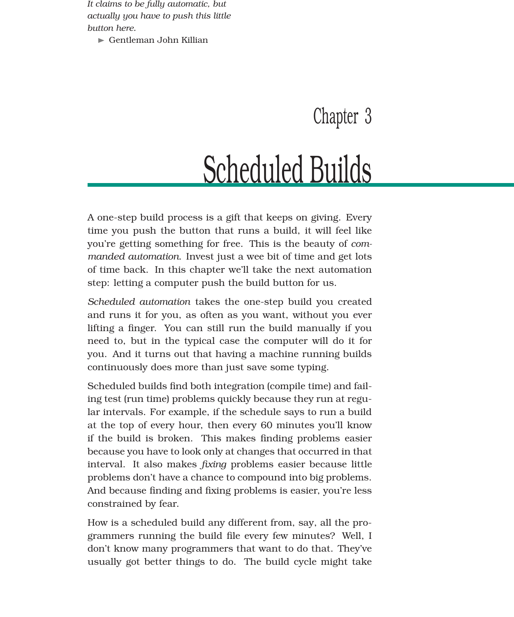*It claims to be fully automatic, but actually you have to push this little button here.*

Gentleman John Killian

# Chapter 3

# Scheduled Builds

A one-step build process is a gift that keeps on giving. Every time you push the button that runs a build, it will feel like you're getting something for free. This is the beauty of *commanded automation*. Invest just a wee bit of time and get lots of time back. In this chapter we'll take the next automation step: letting a computer push the build button for us.

*Scheduled automation* takes the one-step build you created and runs it for you, as often as you want, without you ever lifting a finger. You can still run the build manually if you need to, but in the typical case the computer will do it for you. And it turns out that having a machine running builds continuously does more than just save some typing.

Scheduled builds find both integration (compile time) and failing test (run time) problems quickly because they run at regular intervals. For example, if the schedule says to run a build at the top of every hour, then every 60 minutes you'll know if the build is broken. This makes finding problems easier because you have to look only at changes that occurred in that interval. It also makes *fixing* problems easier because little problems don't have a chance to compound into big problems. And because finding and fixing problems is easier, you're less constrained by fear.

How is a scheduled build any different from, say, all the programmers running the build file every few minutes? Well, I don't know many programmers that want to do that. They've usually got better things to do. The build cycle might take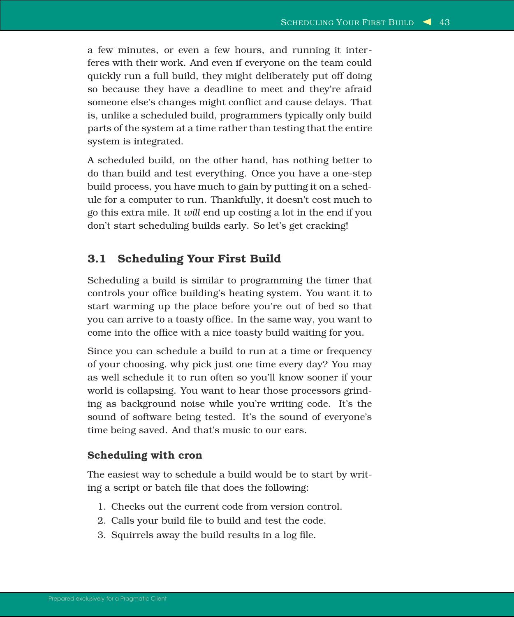a few minutes, or even a few hours, and running it interferes with their work. And even if everyone on the team could quickly run a full build, they might deliberately put off doing so because they have a deadline to meet and they're afraid someone else's changes might conflict and cause delays. That is, unlike a scheduled build, programmers typically only build parts of the system at a time rather than testing that the entire system is integrated.

A scheduled build, on the other hand, has nothing better to do than build and test everything. Once you have a one-step build process, you have much to gain by putting it on a schedule for a computer to run. Thankfully, it doesn't cost much to go this extra mile. It *will* end up costing a lot in the end if you don't start scheduling builds early. So let's get cracking!

## 3.1 Scheduling Your First Build

Scheduling a build is similar to programming the timer that controls your office building's heating system. You want it to start warming up the place before you're out of bed so that you can arrive to a toasty office. In the same way, you want to come into the office with a nice toasty build waiting for you.

Since you can schedule a build to run at a time or frequency of your choosing, why pick just one time every day? You may as well schedule it to run often so you'll know sooner if your world is collapsing. You want to hear those processors grinding as background noise while you're writing code. It's the sound of software being tested. It's the sound of everyone's time being saved. And that's music to our ears.

#### Scheduling with cron

The easiest way to schedule a build would be to start by writing a script or batch file that does the following:

- 1. Checks out the current code from version control.
- 2. Calls your build file to build and test the code.
- 3. Squirrels away the build results in a log file.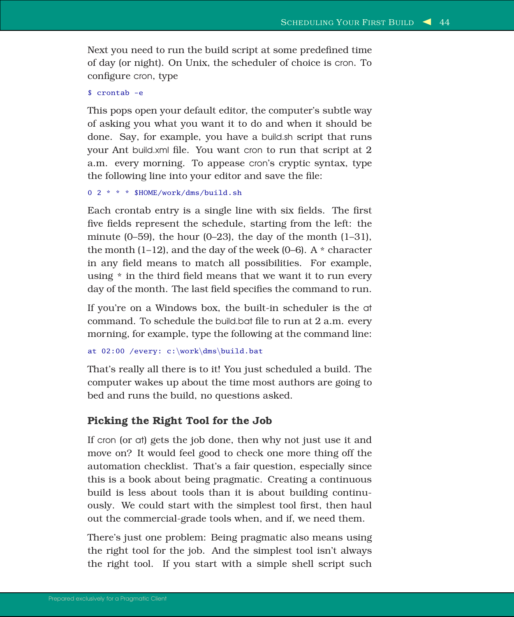Next you need to run the build script at some predefined time of day (or night). On Unix, the scheduler of choice is cron. To configure cron, type

\$ crontab -e

This pops open your default editor, the computer's subtle way of asking you what you want it to do and when it should be done. Say, for example, you have a build.sh script that runs your Ant build.xml file. You want cron to run that script at 2 a.m. every morning. To appease cron's cryptic syntax, type the following line into your editor and save the file:

```
0 2 * * * $HOME/work/dms/build.sh
```
Each crontab entry is a single line with six fields. The first five fields represent the schedule, starting from the left: the minute  $(0-59)$ , the hour  $(0-23)$ , the day of the month  $(1-31)$ , the month  $(1-12)$ , and the day of the week  $(0-6)$ . A  $*$  character in any field means to match all possibilities. For example, using \* in the third field means that we want it to run every day of the month. The last field specifies the command to run.

If you're on a Windows box, the built-in scheduler is the at command. To schedule the build.bat file to run at 2 a.m. every morning, for example, type the following at the command line:

at 02:00 /every: c:\work\dms\build.bat

That's really all there is to it! You just scheduled a build. The computer wakes up about the time most authors are going to bed and runs the build, no questions asked.

#### Picking the Right Tool for the Job

If cron (or at) gets the job done, then why not just use it and move on? It would feel good to check one more thing off the automation checklist. That's a fair question, especially since this is a book about being pragmatic. Creating a continuous build is less about tools than it is about building continuously. We could start with the simplest tool first, then haul out the commercial-grade tools when, and if, we need them.

There's just one problem: Being pragmatic also means using the right tool for the job. And the simplest tool isn't always the right tool. If you start with a simple shell script such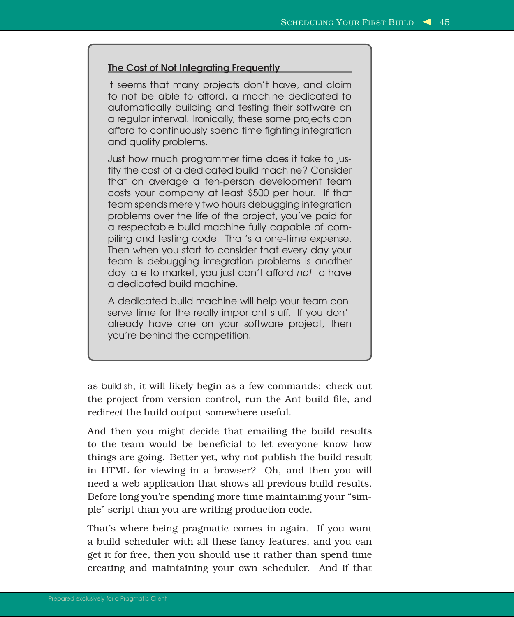#### The Cost of Not Integrating Frequently

It seems that many projects don't have, and claim to not be able to afford, a machine dedicated to automatically building and testing their software on a regular interval. Ironically, these same projects can afford to continuously spend time fighting integration and quality problems.

Just how much programmer time does it take to justify the cost of a dedicated build machine? Consider that on average a ten-person development team costs your company at least \$500 per hour. If that team spends merely two hours debugging integration problems over the life of the project, you've paid for a respectable build machine fully capable of compiling and testing code. That's a one-time expense. Then when you start to consider that every day your team is debugging integration problems is another day late to market, you just can't afford not to have a dedicated build machine.

A dedicated build machine will help your team conserve time for the really important stuff. If you don't already have one on your software project, then you're behind the competition.

as build.sh, it will likely begin as a few commands: check out the project from version control, run the Ant build file, and redirect the build output somewhere useful.

And then you might decide that emailing the build results to the team would be beneficial to let everyone know how things are going. Better yet, why not publish the build result in HTML for viewing in a browser? Oh, and then you will need a web application that shows all previous build results. Before long you're spending more time maintaining your "simple" script than you are writing production code.

That's where being pragmatic comes in again. If you want a build scheduler with all these fancy features, and you can get it for free, then you should use it rather than spend time creating and maintaining your own scheduler. And if that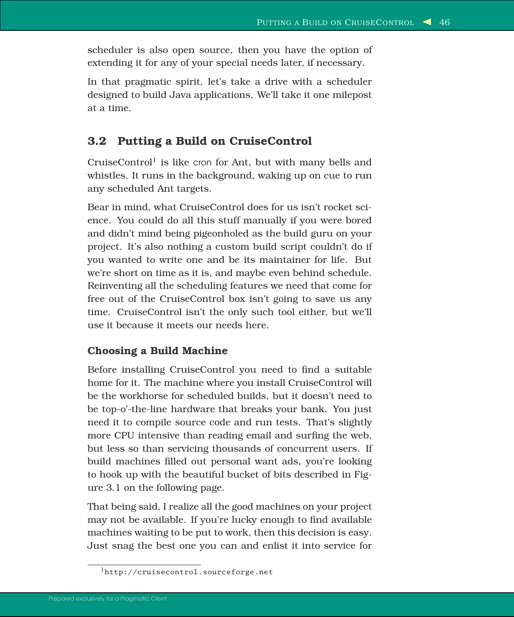scheduler is also open source, then you have the option of extending it for any of your special needs later, if necessary.

In that pragmatic spirit, let's take a drive with a scheduler designed to build Java applications. We'll take it one milepost at a time.

# 3.2 Putting a Build on CruiseControl

CruiseControl<sup>1</sup> is like cron for Ant, but with many bells and whistles. It runs in the background, waking up on cue to run any scheduled Ant targets.

Bear in mind, what CruiseControl does for us isn't rocket science. You could do all this stuff manually if you were bored and didn't mind being pigeonholed as the build guru on your project. It's also nothing a custom build script couldn't do if you wanted to write one and be its maintainer for life. But we're short on time as it is, and maybe even behind schedule. Reinventing all the scheduling features we need that come for free out of the CruiseControl box isn't going to save us any time. CruiseControl isn't the only such tool either, but we'll use it because it meets our needs here.

#### Choosing a Build Machine

Before installing CruiseControl you need to find a suitable home for it. The machine where you install CruiseControl will be the workhorse for scheduled builds, but it doesn't need to be top-o'-the-line hardware that breaks your bank. You just need it to compile source code and run tests. That's slightly more CPU intensive than reading email and surfing the web, but less so than servicing thousands of concurrent users. If build machines filled out personal want ads, you're looking to hook up with the beautiful bucket of bits described in Figure 3.1 on the following page.

That being said, I realize all the good machines on your project may not be available. If you're lucky enough to find available machines waiting to be put to work, then this decision is easy. Just snag the best one you can and enlist it into service for

<sup>&</sup>lt;sup>1</sup>http://cruisecontrol.sourceforge.net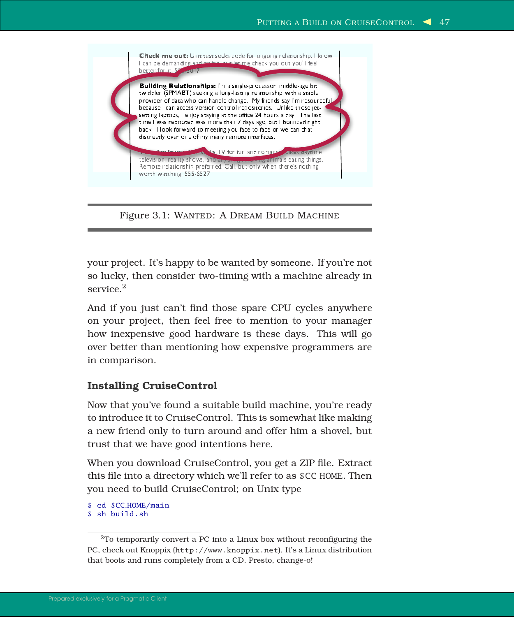

Figure 3.1: WANTED: A DREAM BUILD MACHINE

your project. It's happy to be wanted by someone. If you're not so lucky, then consider two-timing with a machine already in service.<sup>2</sup>

And if you just can't find those spare CPU cycles anywhere on your project, then feel free to mention to your manager how inexpensive good hardware is these days. This will go over better than mentioning how expensive programmers are in comparison.

## Installing CruiseControl

Now that you've found a suitable build machine, you're ready to introduce it to CruiseControl. This is somewhat like making a new friend only to turn around and offer him a shovel, but trust that we have good intentions here.

When you download CruiseControl, you get a ZIP file. Extract this file into a directory which we'll refer to as \$CC HOME. Then you need to build CruiseControl; on Unix type

```
$ cd $CC HOME/main
$ sh build.sh
```
 $2$ To temporarily convert a PC into a Linux box without reconfiguring the PC, check out Knoppix (http://www.knoppix.net). It's a Linux distribution that boots and runs completely from a CD. Presto, change-o!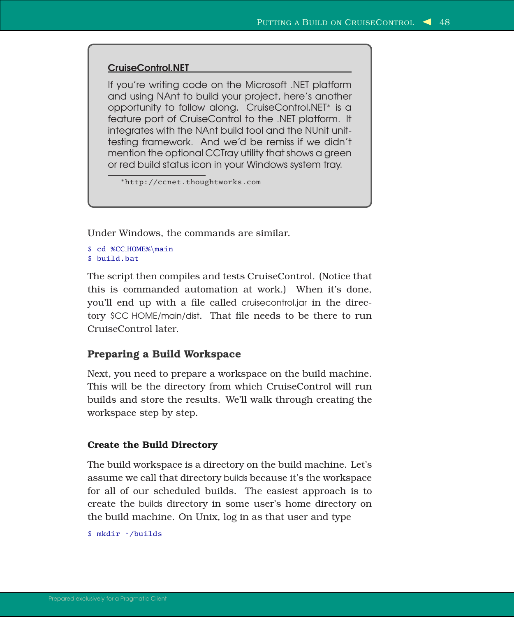#### CruiseControl.NET

If you're writing code on the Microsoft .NET platform and using NAnt to build your project, here's another opportunity to follow along. CruiseControl.NET<sup>∗</sup> is a feature port of CruiseControl to the .NET platform. It integrates with the NAnt build tool and the NUnit unittesting framework. And we'd be remiss if we didn't mention the optional CCTray utility that shows a green or red build status icon in your Windows system tray.

<sup>∗</sup>http://ccnet.thoughtworks.com

Under Windows, the commands are similar.

\$ cd %CC HOME%\main \$ build.bat

The script then compiles and tests CruiseControl. (Notice that this is commanded automation at work.) When it's done, you'll end up with a file called cruisecontrol.jar in the directory \$CC HOME/main/dist. That file needs to be there to run CruiseControl later.

#### Preparing a Build Workspace

Next, you need to prepare a workspace on the build machine. This will be the directory from which CruiseControl will run builds and store the results. We'll walk through creating the workspace step by step.

#### Create the Build Directory

The build workspace is a directory on the build machine. Let's assume we call that directory builds because it's the workspace for all of our scheduled builds. The easiest approach is to create the builds directory in some user's home directory on the build machine. On Unix, log in as that user and type

\$ mkdir ˜/builds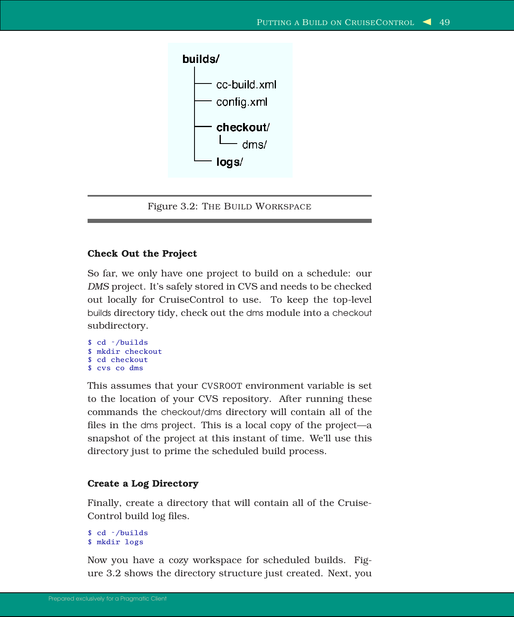

Figure 3.2: THE BUILD WORKSPACE

#### Check Out the Project

So far, we only have one project to build on a schedule: our *DMS* project. It's safely stored in CVS and needs to be checked out locally for CruiseControl to use. To keep the top-level builds directory tidy, check out the dms module into a checkout subdirectory.

```
$ cd ˜/builds
$ mkdir checkout
$ cd checkout
$ cvs co dms
```
This assumes that your CVSROOT environment variable is set to the location of your CVS repository. After running these commands the checkout/dms directory will contain all of the files in the dms project. This is a local copy of the project—a snapshot of the project at this instant of time. We'll use this directory just to prime the scheduled build process.

#### Create a Log Directory

Finally, create a directory that will contain all of the Cruise-Control build log files.

```
$ cd ˜/builds
$ mkdir logs
```
Now you have a cozy workspace for scheduled builds. Figure 3.2 shows the directory structure just created. Next, you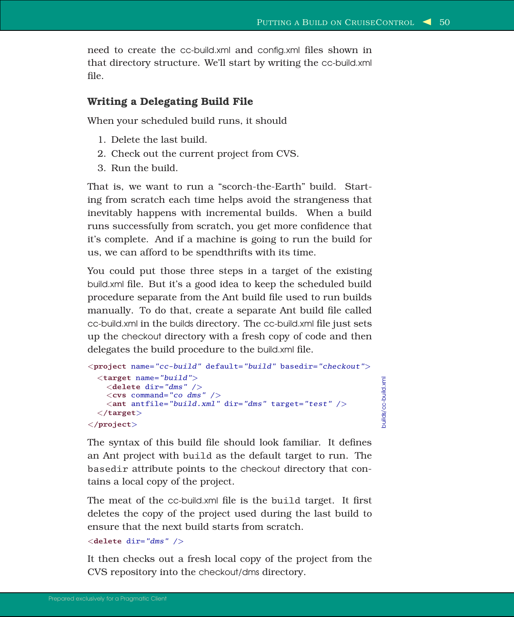builds/cc-build.xml

puilds/cc-build.xml

need to create the cc-build.xml and config.xml files shown in that directory structure. We'll start by writing the cc-build.xml file.

#### Writing a Delegating Build File

When your scheduled build runs, it should

- 1. Delete the last build.
- 2. Check out the current project from CVS.
- 3. Run the build.

That is, we want to run a "scorch-the-Earth" build. Starting from scratch each time helps avoid the strangeness that inevitably happens with incremental builds. When a build runs successfully from scratch, you get more confidence that it's complete. And if a machine is going to run the build for us, we can afford to be spendthrifts with its time.

You could put those three steps in a target of the existing build.xml file. But it's a good idea to keep the scheduled build procedure separate from the Ant build file used to run builds manually. To do that, create a separate Ant build file called cc-build.xml in the builds directory. The cc-build.xml file just sets up the checkout directory with a fresh copy of code and then delegates the build procedure to the build.xml file.

```
<project name="cc-build" default="build" basedir="checkout">
  <target name="build">
   <delete dir="dms" />
   <cvs command="co dms" />
   <ant antfile="build.xml" dir="dms" target="test" />
  </target>
</project>
```
The syntax of this build file should look familiar. It defines an Ant project with build as the default target to run. The basedir attribute points to the checkout directory that contains a local copy of the project.

The meat of the cc-build.xml file is the build target. It first deletes the copy of the project used during the last build to ensure that the next build starts from scratch.

```
<delete dir="dms" />
```
It then checks out a fresh local copy of the project from the CVS repository into the checkout/dms directory.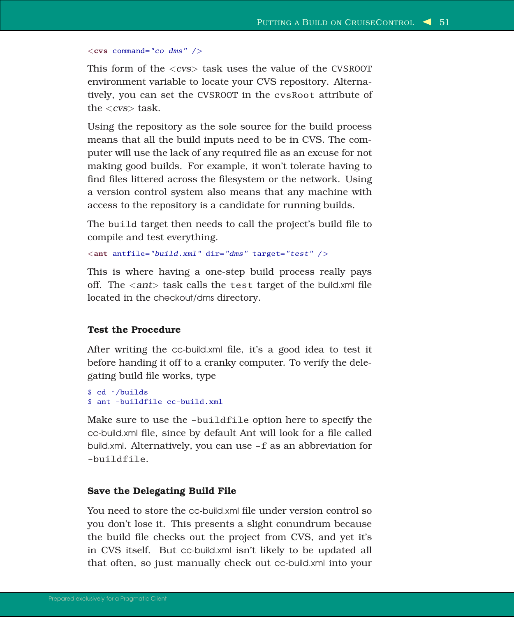```
<cvs command="co dms" />
```
This form of the <cvs> task uses the value of the CVSROOT environment variable to locate your CVS repository. Alternatively, you can set the CVSROOT in the cvsRoot attribute of the  $<$ cvs $>$  task.

Using the repository as the sole source for the build process means that all the build inputs need to be in CVS. The computer will use the lack of any required file as an excuse for not making good builds. For example, it won't tolerate having to find files littered across the filesystem or the network. Using a version control system also means that any machine with access to the repository is a candidate for running builds.

The build target then needs to call the project's build file to compile and test everything.

```
<ant antfile="build.xml" dir="dms" target="test" />
```
This is where having a one-step build process really pays off. The  $\langle ant \rangle$  task calls the test target of the build xml file located in the checkout/dms directory.

#### Test the Procedure

After writing the cc-build.xml file, it's a good idea to test it before handing it off to a cranky computer. To verify the delegating build file works, type

```
$ cd ˜/builds
$ ant -buildfile cc-build.xml
```
Make sure to use the -buildfile option here to specify the cc-build.xml file, since by default Ant will look for a file called build.xml. Alternatively, you can use -f as an abbreviation for -buildfile.

#### Save the Delegating Build File

You need to store the cc-build.xml file under version control so you don't lose it. This presents a slight conundrum because the build file checks out the project from CVS, and yet it's in CVS itself. But cc-build.xml isn't likely to be updated all that often, so just manually check out cc-build.xml into your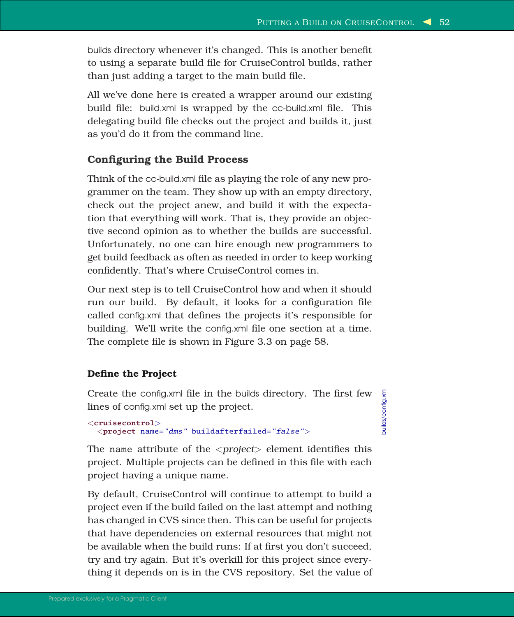builds directory whenever it's changed. This is another benefit to using a separate build file for CruiseControl builds, rather than just adding a target to the main build file.

All we've done here is created a wrapper around our existing build file: build.xml is wrapped by the cc-build.xml file. This delegating build file checks out the project and builds it, just as you'd do it from the command line.

#### Configuring the Build Process

Think of the cc-build.xml file as playing the role of any new programmer on the team. They show up with an empty directory, check out the project anew, and build it with the expectation that everything will work. That is, they provide an objective second opinion as to whether the builds are successful. Unfortunately, no one can hire enough new programmers to get build feedback as often as needed in order to keep working confidently. That's where CruiseControl comes in.

Our next step is to tell CruiseControl how and when it should run our build. By default, it looks for a configuration file called config.xml that defines the projects it's responsible for building. We'll write the config.xml file one section at a time. The complete file is shown in Figure 3.3 on page 58.

#### Define the Project

Create the config.xml file in the builds directory. The first few lines of config.xml set up the project.

```
<cruisecontrol>
  <project name="dms" buildafterfailed="false">
```
The name attribute of the  $\langle$ *project* $\rangle$  element identifies this project. Multiple projects can be defined in this file with each project having a unique name.

By default, CruiseControl will continue to attempt to build a project even if the build failed on the last attempt and nothing has changed in CVS since then. This can be useful for projects that have dependencies on external resources that might not be available when the build runs: If at first you don't succeed, try and try again. But it's overkill for this project since everything it depends on is in the CVS repository. Set the value of

builds/config.xml builds/config.xml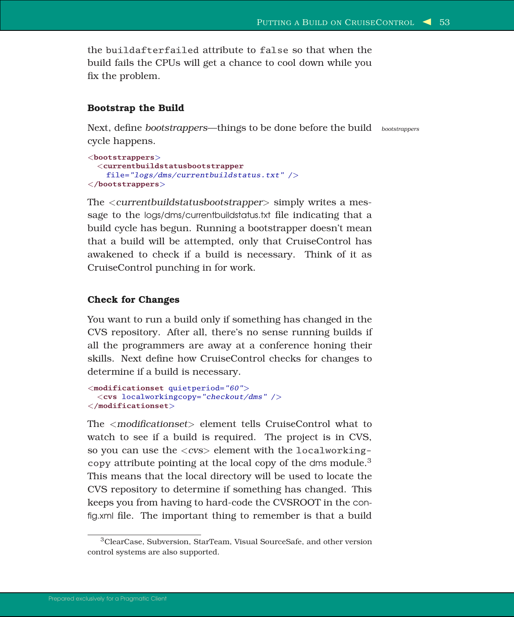the buildafterfailed attribute to false so that when the build fails the CPUs will get a chance to cool down while you fix the problem.

#### Bootstrap the Build

Next, define *bootstrappers*—things to be done before the build *bootstrappers* cycle happens.

```
<bootstrappers>
 <currentbuildstatusbootstrapper
   file="logs/dms/currentbuildstatus.txt" />
</bootstrappers>
```
The <currentbuildstatusbootstrapper> simply writes a message to the logs/dms/currentbuildstatus.txt file indicating that a build cycle has begun. Running a bootstrapper doesn't mean that a build will be attempted, only that CruiseControl has awakened to check if a build is necessary. Think of it as CruiseControl punching in for work.

#### Check for Changes

You want to run a build only if something has changed in the CVS repository. After all, there's no sense running builds if all the programmers are away at a conference honing their skills. Next define how CruiseControl checks for changes to determine if a build is necessary.

```
<modificationset quietperiod="60">
 <cvs localworkingcopy="checkout/dms" />
</modificationset>
```
The  $\leq$  modificationset  $\geq$  element tells CruiseControl what to watch to see if a build is required. The project is in CVS, so you can use the  $\langle cvs \rangle$  element with the localworkingcopy attribute pointing at the local copy of the dms module.<sup>3</sup> This means that the local directory will be used to locate the CVS repository to determine if something has changed. This keeps you from having to hard-code the CVSROOT in the config.xml file. The important thing to remember is that a build

<sup>3</sup>ClearCase, Subversion, StarTeam, Visual SourceSafe, and other version control systems are also supported.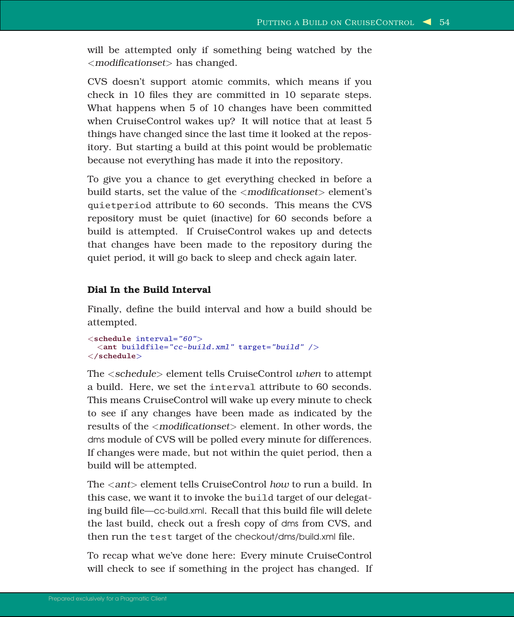will be attempted only if something being watched by the <modificationset> has changed.

CVS doesn't support atomic commits, which means if you check in 10 files they are committed in 10 separate steps. What happens when 5 of 10 changes have been committed when CruiseControl wakes up? It will notice that at least 5 things have changed since the last time it looked at the repository. But starting a build at this point would be problematic because not everything has made it into the repository.

To give you a chance to get everything checked in before a build starts, set the value of the  $\langle$  modificationset $\rangle$  element's quietperiod attribute to 60 seconds. This means the CVS repository must be quiet (inactive) for 60 seconds before a build is attempted. If CruiseControl wakes up and detects that changes have been made to the repository during the quiet period, it will go back to sleep and check again later.

#### Dial In the Build Interval

Finally, define the build interval and how a build should be attempted.

```
<schedule interval="60">
  <ant buildfile="cc-build.xml" target="build" />
</schedule>
```
The <schedule> element tells CruiseControl *when* to attempt a build. Here, we set the interval attribute to 60 seconds. This means CruiseControl will wake up every minute to check to see if any changes have been made as indicated by the results of the <modificationset> element. In other words, the dms module of CVS will be polled every minute for differences. If changes were made, but not within the quiet period, then a build will be attempted.

The <ant> element tells CruiseControl *how* to run a build. In this case, we want it to invoke the build target of our delegating build file—cc-build.xml. Recall that this build file will delete the last build, check out a fresh copy of dms from CVS, and then run the test target of the checkout/dms/build.xml file.

To recap what we've done here: Every minute CruiseControl will check to see if something in the project has changed. If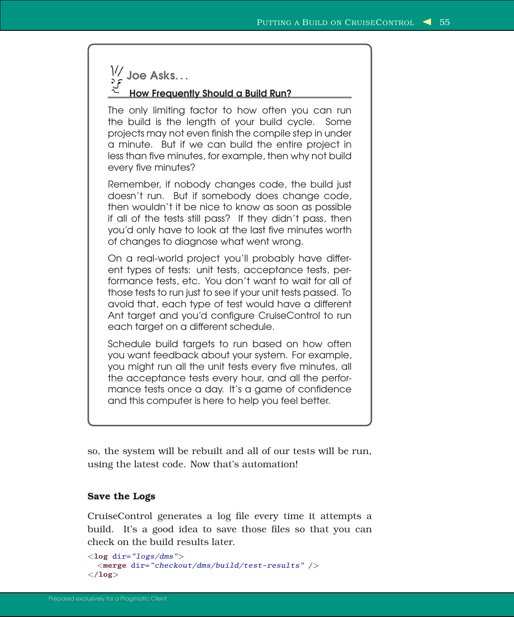

so, the system will be rebuilt and all of our tests will be run, using the latest code. Now that's automation!

#### Save the Logs

CruiseControl generates a log file every time it attempts a build. It's a good idea to save those files so that you can check on the build results later.

```
<log dir="logs/dms">
 <merge dir="checkout/dms/build/test-results" />
</log>
```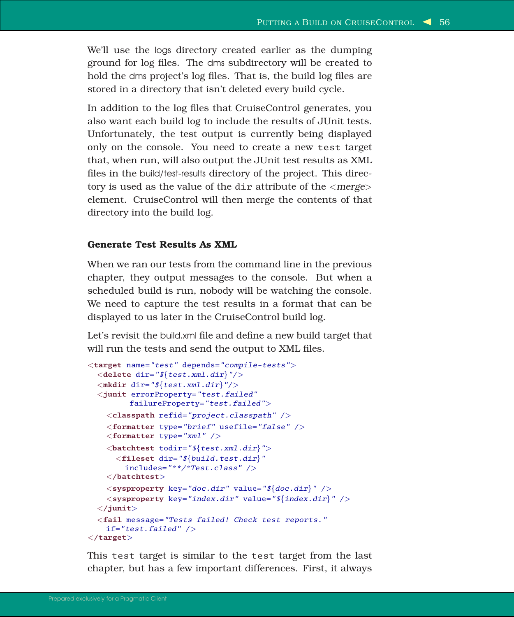We'll use the logs directory created earlier as the dumping ground for log files. The dms subdirectory will be created to hold the dms project's log files. That is, the build log files are stored in a directory that isn't deleted every build cycle.

In addition to the log files that CruiseControl generates, you also want each build log to include the results of JUnit tests. Unfortunately, the test output is currently being displayed only on the console. You need to create a new test target that, when run, will also output the JUnit test results as XML files in the build/test-results directory of the project. This directory is used as the value of the dir attribute of the  $\langle merge \rangle$ element. CruiseControl will then merge the contents of that directory into the build log.

#### Generate Test Results As XML

When we ran our tests from the command line in the previous chapter, they output messages to the console. But when a scheduled build is run, nobody will be watching the console. We need to capture the test results in a format that can be displayed to us later in the CruiseControl build log.

Let's revisit the build.xml file and define a new build target that will run the tests and send the output to XML files.

```
<target name="test" depends="compile-tests">
  <delete dir="${test.xml.dir}"/>
  <mkdir dir="${test.xml.dir}"/>
  <junit errorProperty="test.failed"
         failureProperty="test.failed">
   <classpath refid="project.classpath" />
   <formatter type="brief" usefile="false" />
   <formatter type="xml" />
   <batchtest todir="${test.xml.dir}">
     <fileset dir="${build.test.dir}"
       includes="**/*Test.class" />
   </batchtest>
   <sysproperty key="doc.dir" value="${doc.dir}" />
   <sysproperty key="index.dir" value="${index.dir}" />
  </junit>
  <fail message="Tests failed! Check test reports."
   if="test.failed" /</target>
```
This test target is similar to the test target from the last chapter, but has a few important differences. First, it always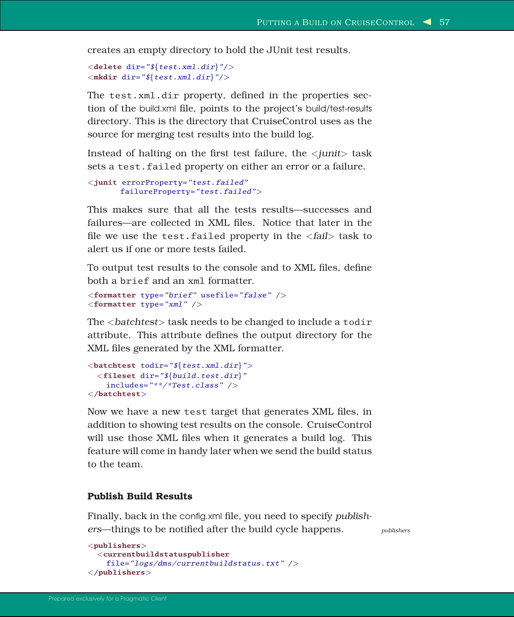creates an empty directory to hold the JUnit test results.

```
<delete dir="${test.xml.dir}"/>
<mkdir dir="${test.xml.dir}"/>
```
The test.xml.dir property, defined in the properties section of the build.xml file, points to the project's build/test-results directory. This is the directory that CruiseControl uses as the source for merging test results into the build log.

Instead of halting on the first test failure, the  $\langle$ junit $\rangle$  task sets a test.failed property on either an error or a failure.

```
<junit errorProperty="test.failed"
      failureProperty="test.failed">
```
This makes sure that all the tests results—successes and failures—are collected in XML files. Notice that later in the file we use the test. failed property in the  $\langle$ fail $\rangle$  task to alert us if one or more tests failed.

To output test results to the console and to XML files, define both a brief and an xml formatter.

```
<formatter type="brief" usefile="false" />
<formatter type="xml" />
```
The  $<$ batchtest $>$  task needs to be changed to include a todir attribute. This attribute defines the output directory for the XML files generated by the XML formatter.

```
<batchtest todir="${test.xml.dir}">
  <fileset dir="${build.test.dir}"
   includes="**/*Test.class" />
</batchtest>
```
Now we have a new test target that generates XML files, in addition to showing test results on the console. CruiseControl will use those XML files when it generates a build log. This feature will come in handy later when we send the build status to the team.

#### Publish Build Results

Finally, back in the config.xml file, you need to specify *publishers*—things to be notified after the build cycle happens. *publishers*

```
<publishers>
  <currentbuildstatuspublisher
    file="logs/dms/currentbuildstatus.txt" />
</publishers>
```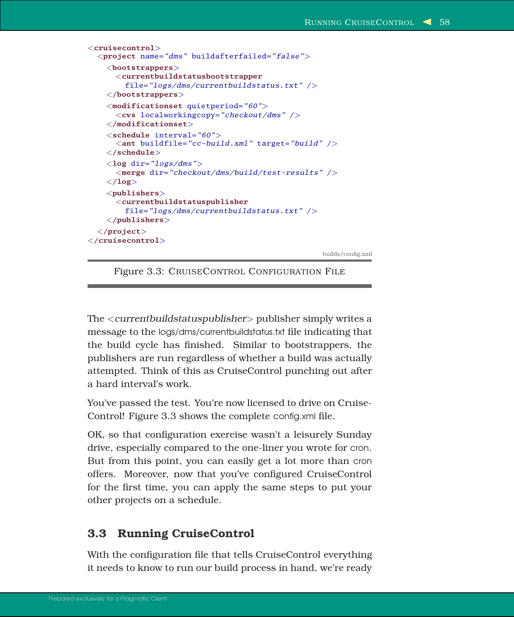```
<cruisecontrol>
  <project name="dms" buildafterfailed="false">
    <bootstrappers>
      <currentbuildstatusbootstrapper
       file="logs/dms/currentbuildstatus.txt" />
   </bootstrappers>
    <modificationset quietperiod="60">
      <cvs localworkingcopy="checkout/dms" />
   </modificationset>
    <schedule interval="60">
     <ant buildfile="cc-build.xml" target="build" />
   </schedule>
   <log dir="logs/dms">
      <merge dir="checkout/dms/build/test-results" />
   </log>
   <publishers>
      <currentbuildstatuspublisher
        file="logs/dms/currentbuildstatus.txt" />
    </publishers>
  </project>
</cruisecontrol>
```
builds/config.xml

Figure 3.3: CRUISECONTROL CONFIGURATION FILE

The <currentbuildstatuspublisher> publisher simply writes a message to the logs/dms/currentbuildstatus.txt file indicating that the build cycle has finished. Similar to bootstrappers, the publishers are run regardless of whether a build was actually attempted. Think of this as CruiseControl punching out after a hard interval's work.

You've passed the test. You're now licensed to drive on Cruise-Control! Figure 3.3 shows the complete config.xml file.

OK, so that configuration exercise wasn't a leisurely Sunday drive, especially compared to the one-liner you wrote for cron. But from this point, you can easily get a lot more than cron offers. Moreover, now that you've configured CruiseControl for the first time, you can apply the same steps to put your other projects on a schedule.

## 3.3 Running CruiseControl

With the configuration file that tells CruiseControl everything it needs to know to run our build process in hand, we're ready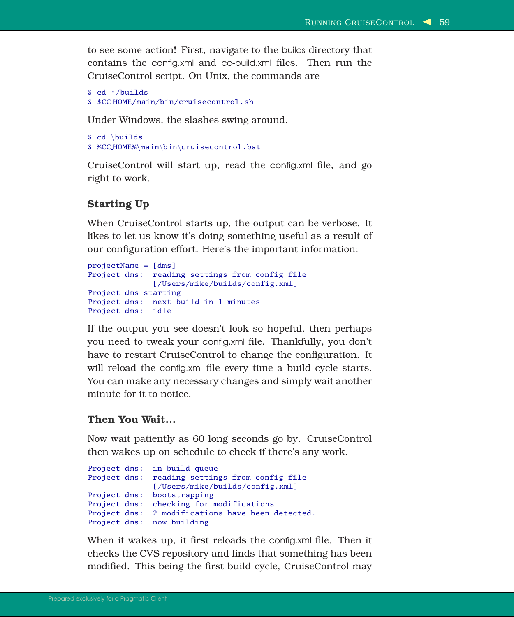to see some action! First, navigate to the builds directory that contains the config.xml and cc-build.xml files. Then run the CruiseControl script. On Unix, the commands are

```
$ cd ˜/builds
$ $CC HOME/main/bin/cruisecontrol.sh
```
Under Windows, the slashes swing around.

```
$ cd \builds
$ %CC HOME%\main\bin\cruisecontrol.bat
```
CruiseControl will start up, read the config.xml file, and go right to work.

#### Starting Up

When CruiseControl starts up, the output can be verbose. It likes to let us know it's doing something useful as a result of our configuration effort. Here's the important information:

```
projectName = [dms]
Project dms: reading settings from config file
             [/Users/mike/builds/config.xml]
Project dms starting
Project dms: next build in 1 minutes
Project dms: idle
```
If the output you see doesn't look so hopeful, then perhaps you need to tweak your config.xml file. Thankfully, you don't have to restart CruiseControl to change the configuration. It will reload the config.xml file every time a build cycle starts. You can make any necessary changes and simply wait another minute for it to notice.

#### Then You Wait...

Now wait patiently as 60 long seconds go by. CruiseControl then wakes up on schedule to check if there's any work.

```
Project dms: in build queue
Project dms: reading settings from config file
            [/Users/mike/builds/config.xml]
Project dms: bootstrapping
Project dms: checking for modifications
Project dms: 2 modifications have been detected.
Project dms: now building
```
When it wakes up, it first reloads the config.xml file. Then it checks the CVS repository and finds that something has been modified. This being the first build cycle, CruiseControl may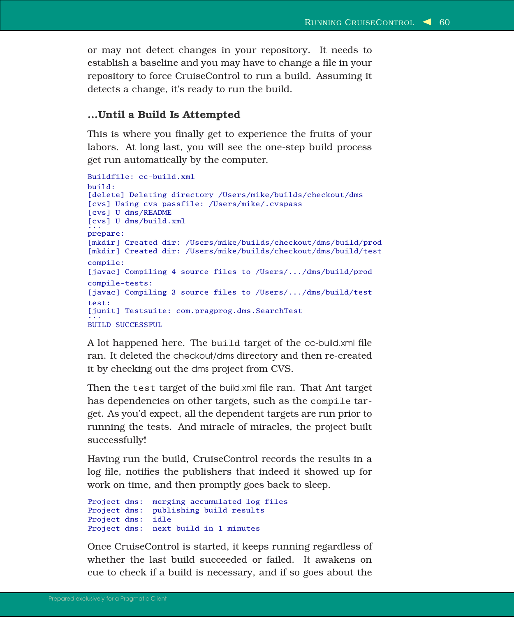or may not detect changes in your repository. It needs to establish a baseline and you may have to change a file in your repository to force CruiseControl to run a build. Assuming it detects a change, it's ready to run the build.

#### ...Until a Build Is Attempted

This is where you finally get to experience the fruits of your labors. At long last, you will see the one-step build process get run automatically by the computer.

```
Buildfile: cc-build.xml
build:
[delete] Deleting directory /Users/mike/builds/checkout/dms
[cvs] Using cvs passfile: /Users/mike/.cvspass
[cvs] U dms/README
[cvs] U dms/build.xml
...
prepare:
[mkdir] Created dir: /Users/mike/builds/checkout/dms/build/prod
[mkdir] Created dir: /Users/mike/builds/checkout/dms/build/test
compile:
[javac] Compiling 4 source files to /Users/.../dms/build/prod
compile-tests:
[javac] Compiling 3 source files to /Users/.../dms/build/test
test:
[junit] Testsuite: com.pragprog.dms.SearchTest
...
BUILD SUCCESSFUL
```
A lot happened here. The build target of the cc-build.xml file ran. It deleted the checkout/dms directory and then re-created it by checking out the dms project from CVS.

Then the test target of the build.xml file ran. That Ant target has dependencies on other targets, such as the compile target. As you'd expect, all the dependent targets are run prior to running the tests. And miracle of miracles, the project built successfully!

Having run the build, CruiseControl records the results in a log file, notifies the publishers that indeed it showed up for work on time, and then promptly goes back to sleep.

```
Project dms: merging accumulated log files
Project dms: publishing build results
Project dms: idle
Project dms: next build in 1 minutes
```
Once CruiseControl is started, it keeps running regardless of whether the last build succeeded or failed. It awakens on cue to check if a build is necessary, and if so goes about the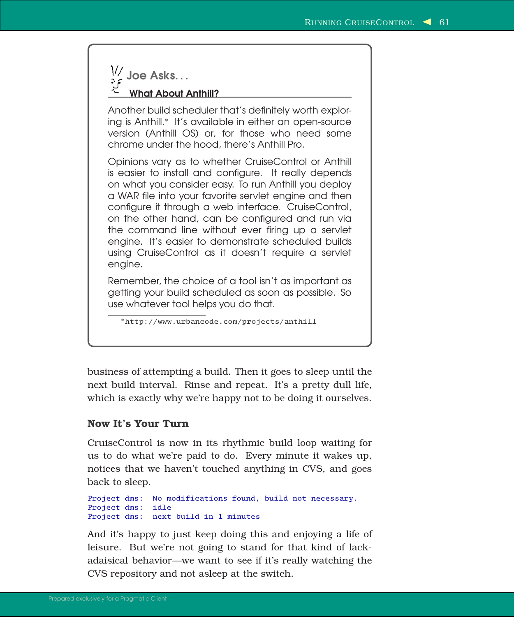1// Joe Asks... What About Anthill? Another build scheduler that's definitely worth exploring is Anthill.<sup>∗</sup> It's available in either an open-source version (Anthill OS) or, for those who need some chrome under the hood, there's Anthill Pro. Opinions vary as to whether CruiseControl or Anthill is easier to install and configure. It really depends on what you consider easy. To run Anthill you deploy a WAR file into your favorite servlet engine and then configure it through a web interface. CruiseControl, on the other hand, can be configured and run via the command line without ever firing up a servlet engine. It's easier to demonstrate scheduled builds using CruiseControl as it doesn't require a servlet engine. Remember, the choice of a tool isn't as important as getting your build scheduled as soon as possible. So use whatever tool helps you do that.

<sup>∗</sup>http://www.urbancode.com/projects/anthill

business of attempting a build. Then it goes to sleep until the next build interval. Rinse and repeat. It's a pretty dull life, which is exactly why we're happy not to be doing it ourselves.

#### Now It's Your Turn

CruiseControl is now in its rhythmic build loop waiting for us to do what we're paid to do. Every minute it wakes up, notices that we haven't touched anything in CVS, and goes back to sleep.

Project dms: No modifications found, build not necessary. Project dms: idle Project dms: next build in 1 minutes

And it's happy to just keep doing this and enjoying a life of leisure. But we're not going to stand for that kind of lackadaisical behavior—we want to see if it's really watching the CVS repository and not asleep at the switch.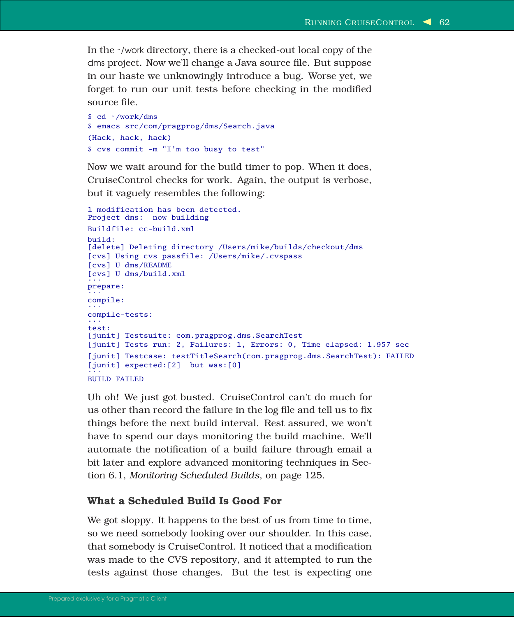In the ˜ /work directory, there is a checked-out local copy of the dms project. Now we'll change a Java source file. But suppose in our haste we unknowingly introduce a bug. Worse yet, we forget to run our unit tests before checking in the modified source file.

```
$ cd ˜/work/dms
$ emacs src/com/pragprog/dms/Search.java
(Hack, hack, hack)
$ cvs commit -m "I'm too busy to test"
```
Now we wait around for the build timer to pop. When it does, CruiseControl checks for work. Again, the output is verbose, but it vaguely resembles the following:

```
1 modification has been detected.
Project dms: now building
Buildfile: cc-build.xml
build:
[delete] Deleting directory /Users/mike/builds/checkout/dms
[cvs] Using cvs passfile: /Users/mike/.cvspass
[cvs] U dms/README
[cvs] U dms/build.xml
...
prepare:
...
compile:
...
compile-tests:
...
test:
[junit] Testsuite: com.pragprog.dms.SearchTest
[junit] Tests run: 2, Failures: 1, Errors: 0, Time elapsed: 1.957 sec
[junit] Testcase: testTitleSearch(com.pragprog.dms.SearchTest): FAILED
[junit] expected:[2] but was:[0]
...
BUILD FAILED
```
Uh oh! We just got busted. CruiseControl can't do much for us other than record the failure in the log file and tell us to fix things before the next build interval. Rest assured, we won't have to spend our days monitoring the build machine. We'll automate the notification of a build failure through email a bit later and explore advanced monitoring techniques in Section 6.1, *Monitoring Scheduled Builds*, on page 125.

#### What a Scheduled Build Is Good For

We got sloppy. It happens to the best of us from time to time, so we need somebody looking over our shoulder. In this case, that somebody is CruiseControl. It noticed that a modification was made to the CVS repository, and it attempted to run the tests against those changes. But the test is expecting one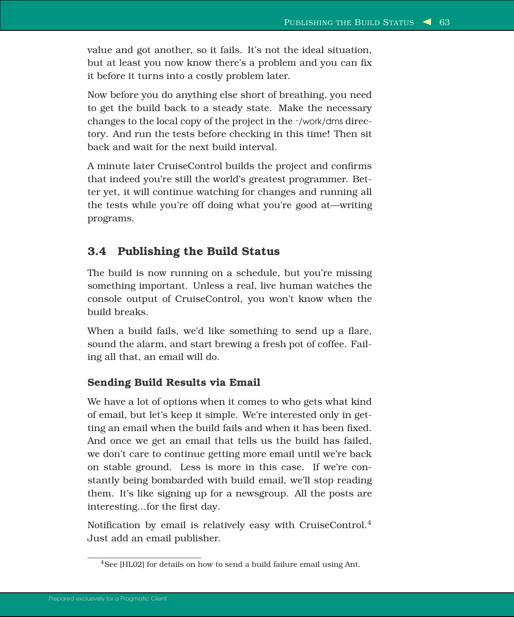value and got another, so it fails. It's not the ideal situation, but at least you now know there's a problem and you can fix it before it turns into a costly problem later.

Now before you do anything else short of breathing, you need to get the build back to a steady state. Make the necessary changes to the local copy of the project in the ˜ /work/dms directory. And run the tests before checking in this time! Then sit back and wait for the next build interval.

A minute later CruiseControl builds the project and confirms that indeed you're still the world's greatest programmer. Better yet, it will continue watching for changes and running all the tests while you're off doing what you're good at—writing programs.

# 3.4 Publishing the Build Status

The build is now running on a schedule, but you're missing something important. Unless a real, live human watches the console output of CruiseControl, you won't know when the build breaks.

When a build fails, we'd like something to send up a flare, sound the alarm, and start brewing a fresh pot of coffee. Failing all that, an email will do.

## Sending Build Results via Email

We have a lot of options when it comes to who gets what kind of email, but let's keep it simple. We're interested only in getting an email when the build fails and when it has been fixed. And once we get an email that tells us the build has failed, we don't care to continue getting more email until we're back on stable ground. Less is more in this case. If we're constantly being bombarded with build email, we'll stop reading them. It's like signing up for a newsgroup. All the posts are interesting...for the first day.

Notification by email is relatively easy with CruiseControl. 4 Just add an email publisher.

<sup>&</sup>lt;sup>4</sup>See [HL02] for details on how to send a build failure email using Ant.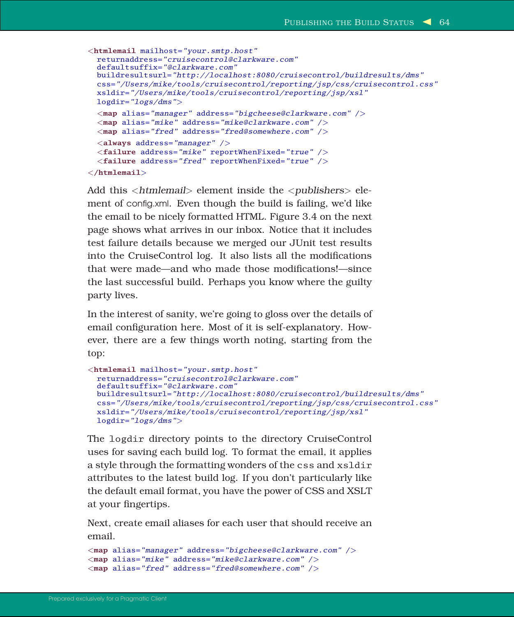```
<htmlemail mailhost="your.smtp.host"
 returnaddress="cruisecontrol@clarkware.com"
 defaultsuffix="@clarkware.com"
 buildresultsurl="http://localhost:8080/cruisecontrol/buildresults/dms"
 css="/Users/mike/tools/cruisecontrol/reporting/jsp/css/cruisecontrol.css"
 xsldir="/Users/mike/tools/cruisecontrol/reporting/jsp/xsl"
 logdir="logs/dms">
  <map alias="manager" address="bigcheese@clarkware.com" />
  <map alias="mike" address="mike@clarkware.com" />
  <map alias="fred" address="fred@somewhere.com" />
  <always address="manager" />
  <failure address="mike" reportWhenFixed="true" />
  <failure address="fred" reportWhenFixed="true" />
</htmlemail>
```
Add this <htmlemail> element inside the <publishers> element of config.xml. Even though the build is failing, we'd like the email to be nicely formatted HTML. Figure 3.4 on the next page shows what arrives in our inbox. Notice that it includes test failure details because we merged our JUnit test results into the CruiseControl log. It also lists all the modifications that were made—and who made those modifications!—since the last successful build. Perhaps you know where the guilty party lives.

In the interest of sanity, we're going to gloss over the details of email configuration here. Most of it is self-explanatory. However, there are a few things worth noting, starting from the top:

```
<htmlemail mailhost="your.smtp.host"
 returnaddress="cruisecontrol@clarkware.com"
 defaultsuffix="@clarkware.com"
 buildresultsurl="http://localhost:8080/cruisecontrol/buildresults/dms"
 css="/Users/mike/tools/cruisecontrol/reporting/jsp/css/cruisecontrol.css"
 xsldir="/Users/mike/tools/cruisecontrol/reporting/jsp/xsl"
 logdir="logs/dms">
```
The logdir directory points to the directory CruiseControl uses for saving each build log. To format the email, it applies a style through the formatting wonders of the css and xsldir attributes to the latest build log. If you don't particularly like the default email format, you have the power of CSS and XSLT at your fingertips.

Next, create email aliases for each user that should receive an email.

```
<map alias="manager" address="bigcheese@clarkware.com" />
<map alias="mike" address="mike@clarkware.com" />
<map alias="fred" address="fred@somewhere.com" />
```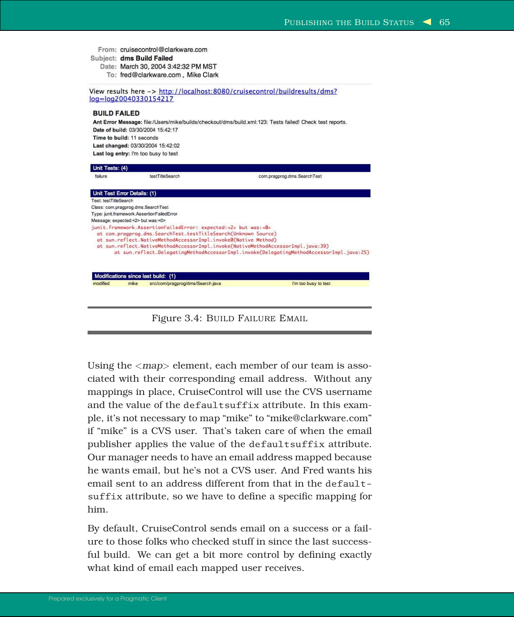From: cruisecontrol@clarkware.com

Subject: dms Build Failed

- Date: March 30, 2004 3:42:32 PM MST
	- To: fred@clarkware.com, Mike Clark

View results here -> http://localhost:8080/cruisecontrol/buildresults/dms? log=log20040330154217

#### **BUILD FAILED**

Ant Error Message: file:/Users/mike/builds/checkout/dms/build.xml:123: Tests failed! Check test reports. Date of build: 03/30/2004 15:42:17 Time to build: 11 seconds Last changed: 03/30/2004 15:42:02 Last log entry: I'm too busy to test Unit Tests: (4)

| failure                            | testTitleSearch                                                                                                                                                                                                                                                                        | com.pragprog.dms.SearchTest                                                              |
|------------------------------------|----------------------------------------------------------------------------------------------------------------------------------------------------------------------------------------------------------------------------------------------------------------------------------------|------------------------------------------------------------------------------------------|
|                                    |                                                                                                                                                                                                                                                                                        |                                                                                          |
| Unit Test Error Details: (1)       |                                                                                                                                                                                                                                                                                        |                                                                                          |
| Test: testTitleSearch              |                                                                                                                                                                                                                                                                                        |                                                                                          |
| Class: com.pragprog.dms.SearchTest |                                                                                                                                                                                                                                                                                        |                                                                                          |
|                                    | Type: junit.framework.AssertionFailedError                                                                                                                                                                                                                                             |                                                                                          |
| Message: expected:<2> but was:<0>  |                                                                                                                                                                                                                                                                                        |                                                                                          |
|                                    | junit.framework.AssertionFailedError: expected:<2> but was:<0><br>at com.pragprog.dms.SearchTest.testTitleSearch(Unknown Source)<br>at sun.reflect.NativeMethodAccessorImpl.invoke0(Native Method)<br>at sun.reflect.NativeMethodAccessorImpl.invoke(NativeMethodAccessorImpl.java:39) | at sun.reflect.DelegatingMethodAccessorImpl.invoke(DelegatingMethodAccessorImpl.java:25) |
|                                    | Modifications since last build: (1)                                                                                                                                                                                                                                                    |                                                                                          |
|                                    |                                                                                                                                                                                                                                                                                        |                                                                                          |



Using the  $\langle map \rangle$  element, each member of our team is associated with their corresponding email address. Without any mappings in place, CruiseControl will use the CVS username and the value of the defaultsuffix attribute. In this example, it's not necessary to map "mike" to "mike@clarkware.com" if "mike" is a CVS user. That's taken care of when the email publisher applies the value of the defaultsuffix attribute. Our manager needs to have an email address mapped because he wants email, but he's not a CVS user. And Fred wants his email sent to an address different from that in the defaultsuffix attribute, so we have to define a specific mapping for him.

By default, CruiseControl sends email on a success or a failure to those folks who checked stuff in since the last successful build. We can get a bit more control by defining exactly what kind of email each mapped user receives.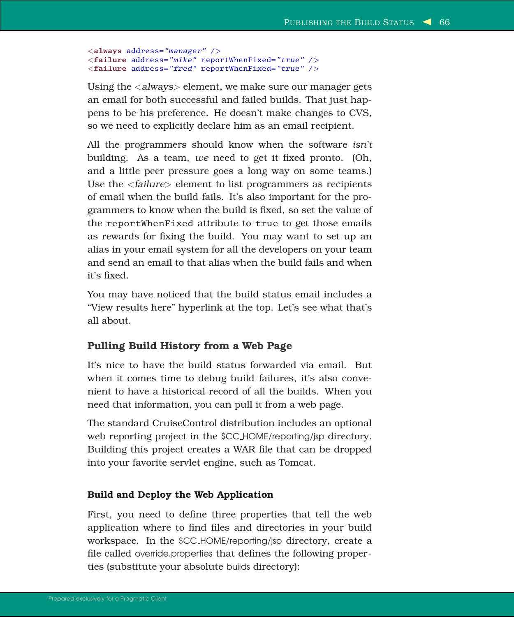```
<always address="manager" />
<failure address="mike" reportWhenFixed="true" />
<failure address="fred" reportWhenFixed="true" />
```
Using the <always> element, we make sure our manager gets an email for both successful and failed builds. That just happens to be his preference. He doesn't make changes to CVS, so we need to explicitly declare him as an email recipient.

All the programmers should know when the software *isn't* building. As a team, *we* need to get it fixed pronto. (Oh, and a little peer pressure goes a long way on some teams.) Use the <failure> element to list programmers as recipients of email when the build fails. It's also important for the programmers to know when the build is fixed, so set the value of the reportWhenFixed attribute to true to get those emails as rewards for fixing the build. You may want to set up an alias in your email system for all the developers on your team and send an email to that alias when the build fails and when it's fixed.

You may have noticed that the build status email includes a "View results here" hyperlink at the top. Let's see what that's all about.

#### Pulling Build History from a Web Page

It's nice to have the build status forwarded via email. But when it comes time to debug build failures, it's also convenient to have a historical record of all the builds. When you need that information, you can pull it from a web page.

The standard CruiseControl distribution includes an optional web reporting project in the \$CC HOME/reporting/jsp directory. Building this project creates a WAR file that can be dropped into your favorite servlet engine, such as Tomcat.

#### Build and Deploy the Web Application

First, you need to define three properties that tell the web application where to find files and directories in your build workspace. In the \$CC HOME/reporting/jsp directory, create a file called override.properties that defines the following properties (substitute your absolute builds directory):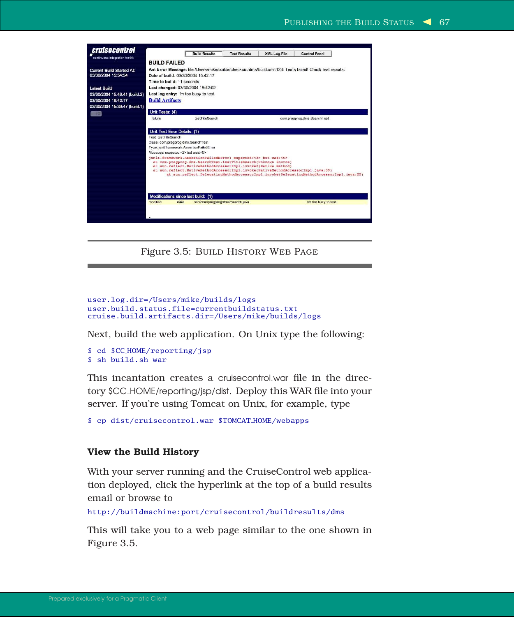

Figure 3.5: BUILD HISTORY WEB PAGE

```
user.log.dir=/Users/mike/builds/logs
user.build.status.file=currentbuildstatus.txt
cruise.build.artifacts.dir=/Users/mike/builds/logs
```
Next, build the web application. On Unix type the following:

```
$ cd $CC HOME/reporting/jsp
$ sh build.sh war
```
This incantation creates a cruisecontrol.war file in the directory \$CC HOME/reporting/jsp/dist. Deploy this WAR file into your server. If you're using Tomcat on Unix, for example, type

\$ cp dist/cruisecontrol.war \$TOMCAT HOME/webapps

#### View the Build History

With your server running and the CruiseControl web application deployed, click the hyperlink at the top of a build results email or browse to

```
http://buildmachine:port/cruisecontrol/buildresults/dms
```
This will take you to a web page similar to the one shown in Figure 3.5.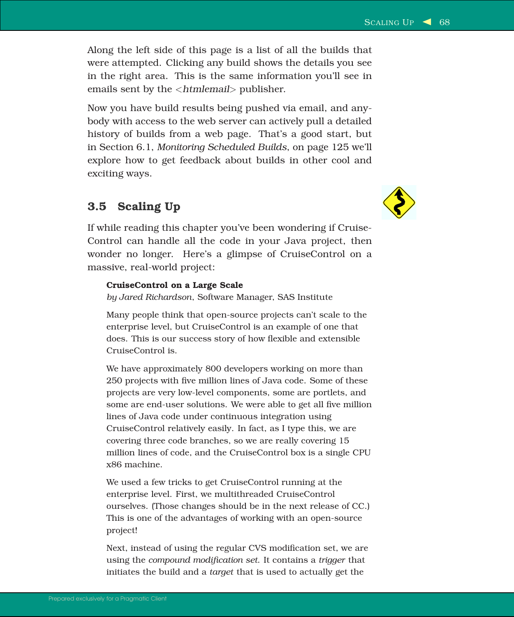Along the left side of this page is a list of all the builds that were attempted. Clicking any build shows the details you see in the right area. This is the same information you'll see in emails sent by the <htmlemail> publisher.

Now you have build results being pushed via email, and anybody with access to the web server can actively pull a detailed history of builds from a web page. That's a good start, but in Section 6.1, *Monitoring Scheduled Builds*, on page 125 we'll explore how to get feedback about builds in other cool and exciting ways.

# 3.5 Scaling Up



If while reading this chapter you've been wondering if Cruise-Control can handle all the code in your Java project, then wonder no longer. Here's a glimpse of CruiseControl on a massive, real-world project:

#### CruiseControl on a Large Scale

*by Jared Richardson*, Software Manager, SAS Institute

Many people think that open-source projects can't scale to the enterprise level, but CruiseControl is an example of one that does. This is our success story of how flexible and extensible CruiseControl is.

We have approximately 800 developers working on more than 250 projects with five million lines of Java code. Some of these projects are very low-level components, some are portlets, and some are end-user solutions. We were able to get all five million lines of Java code under continuous integration using CruiseControl relatively easily. In fact, as I type this, we are covering three code branches, so we are really covering 15 million lines of code, and the CruiseControl box is a single CPU x86 machine.

We used a few tricks to get CruiseControl running at the enterprise level. First, we multithreaded CruiseControl ourselves. (Those changes should be in the next release of CC.) This is one of the advantages of working with an open-source project!

Next, instead of using the regular CVS modification set, we are using the *compound modification set*. It contains a *trigger* that initiates the build and a *target* that is used to actually get the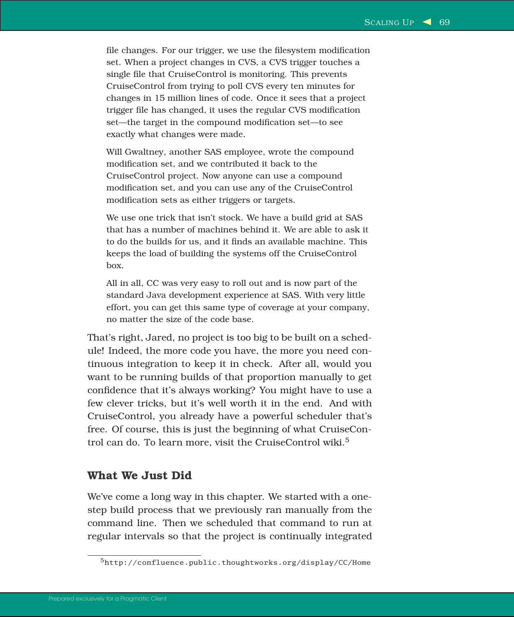file changes. For our trigger, we use the filesystem modification set. When a project changes in CVS, a CVS trigger touches a single file that CruiseControl is monitoring. This prevents CruiseControl from trying to poll CVS every ten minutes for changes in 15 million lines of code. Once it sees that a project trigger file has changed, it uses the regular CVS modification set—the target in the compound modification set—to see exactly what changes were made.

Will Gwaltney, another SAS employee, wrote the compound modification set, and we contributed it back to the CruiseControl project. Now anyone can use a compound modification set, and you can use any of the CruiseControl modification sets as either triggers or targets.

We use one trick that isn't stock. We have a build grid at SAS that has a number of machines behind it. We are able to ask it to do the builds for us, and it finds an available machine. This keeps the load of building the systems off the CruiseControl box.

All in all, CC was very easy to roll out and is now part of the standard Java development experience at SAS. With very little effort, you can get this same type of coverage at your company, no matter the size of the code base.

That's right, Jared, no project is too big to be built on a schedule! Indeed, the more code you have, the more you need continuous integration to keep it in check. After all, would you want to be running builds of that proportion manually to get confidence that it's always working? You might have to use a few clever tricks, but it's well worth it in the end. And with CruiseControl, you already have a powerful scheduler that's free. Of course, this is just the beginning of what CruiseControl can do. To learn more, visit the CruiseControl wiki.<sup>5</sup>

### What We Just Did

We've come a long way in this chapter. We started with a onestep build process that we previously ran manually from the command line. Then we scheduled that command to run at regular intervals so that the project is continually integrated

<sup>5</sup>http://confluence.public.thoughtworks.org/display/CC/Home